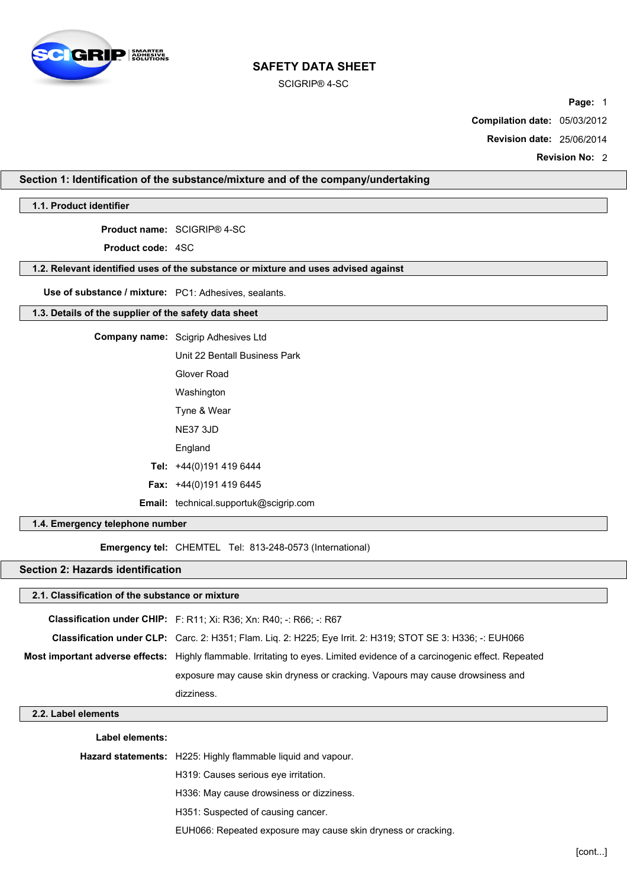

SCIGRIP® 4-SC

**Page:** 1

**Compilation date:** 05/03/2012

**Revision date:** 25/06/2014

**Revision No:** 2

# **Section 1: Identification of the substance/mixture and of the company/undertaking**

**1.1. Product identifier**

**Product name:** SCIGRIP® 4-SC

**Product code:** 4SC

# **1.2. Relevant identified uses of the substance or mixture and uses advised against**

**Use of substance / mixture:** PC1: Adhesives, sealants.

# **1.3. Details of the supplier of the safety data sheet**

| <b>Company name:</b> Scigrip Adhesives Ltd    |  |
|-----------------------------------------------|--|
| Unit 22 Bentall Business Park                 |  |
| Glover Road                                   |  |
| Washington                                    |  |
| Tyne & Wear                                   |  |
| <b>NE37 3JD</b>                               |  |
| England                                       |  |
| Tel: +44(0)191 419 6444                       |  |
| <b>Fax:</b> $+44(0)1914196445$                |  |
| <b>Email:</b> technical.supportuk@scigrip.com |  |

## **1.4. Emergency telephone number**

**Emergency tel:** CHEMTEL Tel: 813-248-0573 (International)

# **Section 2: Hazards identification**

# **2.1. Classification of the substance or mixture**

|                                                                                                                           | <b>Classification under CHIP:</b> F: R11; Xi: R36; Xn: R40; -: R66; -: R67                                  |  |
|---------------------------------------------------------------------------------------------------------------------------|-------------------------------------------------------------------------------------------------------------|--|
|                                                                                                                           | Classification under CLP: Carc. 2: H351; Flam. Lig. 2: H225; Eye Irrit. 2: H319; STOT SE 3: H336; -: EUH066 |  |
| Most important adverse effects: Highly flammable. Irritating to eyes. Limited evidence of a carcinogenic effect. Repeated |                                                                                                             |  |
|                                                                                                                           | exposure may cause skin dryness or cracking. Vapours may cause drowsiness and                               |  |
|                                                                                                                           | dizziness.                                                                                                  |  |

# **2.2. Label elements**

| Label elements: |  |
|-----------------|--|
|-----------------|--|

**Hazard statements:** H225: Highly flammable liquid and vapour.

H319: Causes serious eye irritation.

- H336: May cause drowsiness or dizziness.
- H351: Suspected of causing cancer.
- EUH066: Repeated exposure may cause skin dryness or cracking.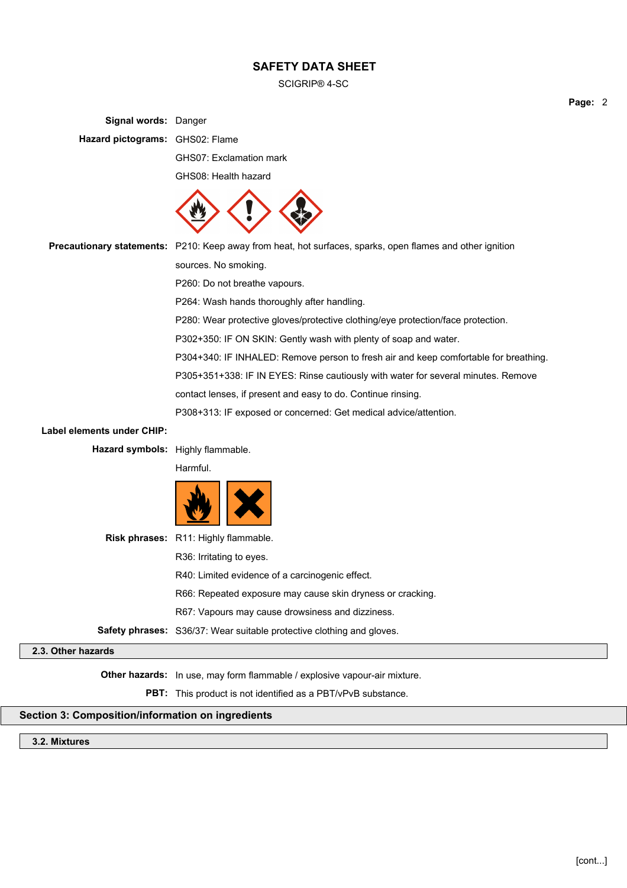SCIGRIP® 4-SC

**Signal words:** Danger **Hazard pictograms:** GHS02: Flame GHS07: Exclamation mark GHS08: Health hazard **Precautionary statements:** P210: Keep away from heat, hot surfaces, sparks, open flames and other ignition sources. No smoking. P260: Do not breathe vapours. P264: Wash hands thoroughly after handling. P280: Wear protective gloves/protective clothing/eye protection/face protection. P302+350: IF ON SKIN: Gently wash with plenty of soap and water. P304+340: IF INHALED: Remove person to fresh air and keep comfortable for breathing. P305+351+338: IF IN EYES: Rinse cautiously with water for several minutes. Remove contact lenses, if present and easy to do. Continue rinsing. P308+313: IF exposed or concerned: Get medical advice/attention. **Label elements under CHIP: Hazard symbols:** Highly flammable. Harmful. **Risk phrases:** R11: Highly flammable. R36: Irritating to eyes. R40: Limited evidence of a carcinogenic effect. R66: Repeated exposure may cause skin dryness or cracking. R67: Vapours may cause drowsiness and dizziness. **Safety phrases:** S36/37: Wear suitable protective clothing and gloves. **2.3. Other hazards Other hazards:** In use, may form flammable / explosive vapour-air mixture. **PBT:** This product is not identified as a PBT/vPvB substance.

# **Section 3: Composition/information on ingredients**

**3.2. Mixtures**

**Page:** 2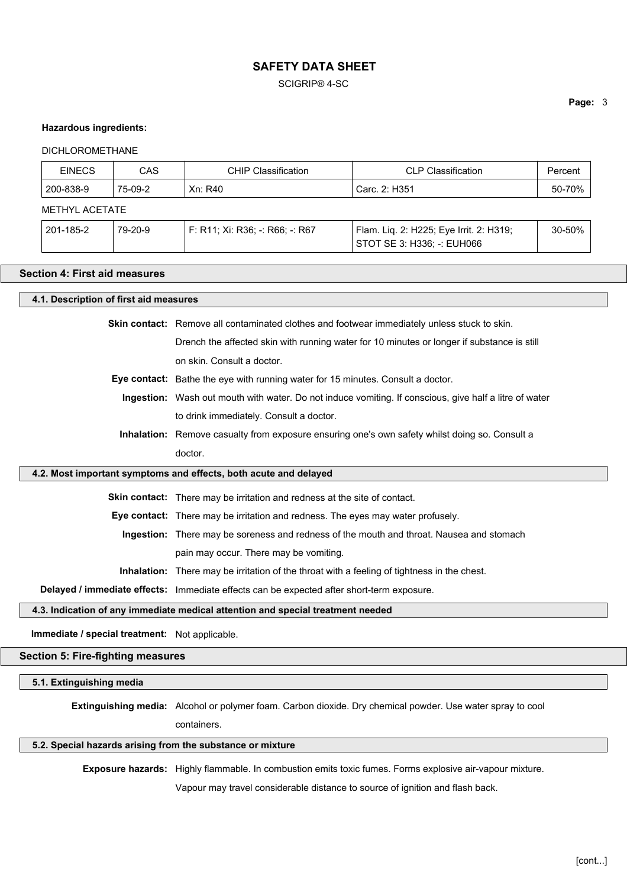SCIGRIP® 4-SC

#### **Hazardous ingredients:**

#### DICHLOROMETHANE

| <b>CAS</b><br><b>EINECS</b>                                                                |                                                                                                        |         | <b>CHIP Classification</b>        | <b>CLP Classification</b>                                             | Percent |  |
|--------------------------------------------------------------------------------------------|--------------------------------------------------------------------------------------------------------|---------|-----------------------------------|-----------------------------------------------------------------------|---------|--|
|                                                                                            | 200-838-9                                                                                              | 75-09-2 | Xn: R40                           | Carc. 2: H351                                                         | 50-70%  |  |
|                                                                                            | <b>METHYL ACETATE</b>                                                                                  |         |                                   |                                                                       |         |  |
|                                                                                            | 201-185-2                                                                                              | 79-20-9 | $F: R11; Xi: R36; -: R66; -: R67$ | Flam. Lig. 2: H225; Eye Irrit. 2: H319;<br>STOT SE 3: H336; -: EUH066 | 30-50%  |  |
|                                                                                            | Section 4: First aid measures                                                                          |         |                                   |                                                                       |         |  |
|                                                                                            | 4.1. Description of first aid measures                                                                 |         |                                   |                                                                       |         |  |
|                                                                                            | Skin contact: Remove all contaminated clothes and footwear immediately unless stuck to skin.           |         |                                   |                                                                       |         |  |
| Drench the affected skin with running water for 10 minutes or longer if substance is still |                                                                                                        |         |                                   |                                                                       |         |  |
| on skin. Consult a doctor.                                                                 |                                                                                                        |         |                                   |                                                                       |         |  |
| <b>Eye contact:</b> Bathe the eye with running water for 15 minutes. Consult a doctor.     |                                                                                                        |         |                                   |                                                                       |         |  |
|                                                                                            | Ingestion: Wash out mouth with water. Do not induce vomiting. If conscious, give half a litre of water |         |                                   |                                                                       |         |  |
|                                                                                            | to drink immediately. Consult a doctor.                                                                |         |                                   |                                                                       |         |  |
|                                                                                            | <b>Inhalation:</b> Remove casualty from exposure ensuring one's own safety whilst doing so. Consult a  |         |                                   |                                                                       |         |  |

# **4.2. Most important symptoms and effects, both acute and delayed**

doctor.

**Skin contact:** There may be irritation and redness at the site of contact.

**Eye contact:** There may be irritation and redness. The eyes may water profusely.

**Ingestion:** There may be soreness and redness of the mouth and throat. Nausea and stomach

pain may occur. There may be vomiting.

**Inhalation:** There may be irritation of the throat with a feeling of tightness in the chest.

**Delayed / immediate effects:** Immediate effects can be expected after short-term exposure.

### **4.3. Indication of any immediate medical attention and special treatment needed**

**Immediate / special treatment:** Not applicable.

# **Section 5: Fire-fighting measures**

**5.1. Extinguishing media**

**Extinguishing media:** Alcohol or polymer foam. Carbon dioxide. Dry chemical powder. Use water spray to cool

containers.

# **5.2. Special hazards arising from the substance or mixture**

**Exposure hazards:** Highly flammable. In combustion emits toxic fumes. Forms explosive air-vapour mixture.

Vapour may travel considerable distance to source of ignition and flash back.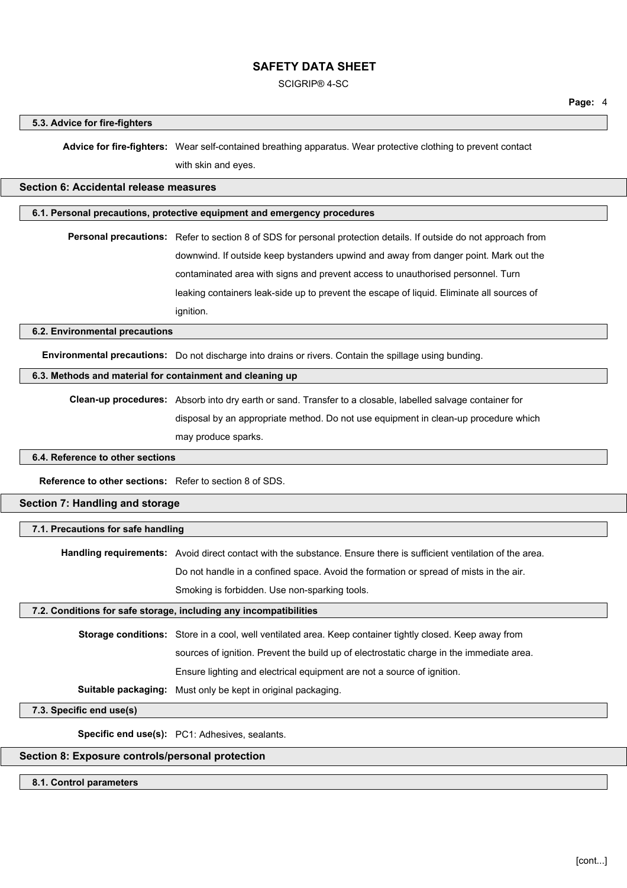SCIGRIP® 4-SC

#### **5.3. Advice for fire-fighters**

**Advice for fire-fighters:** Wear self-contained breathing apparatus. Wear protective clothing to prevent contact with skin and eyes.

# **Section 6: Accidental release measures**

# **6.1. Personal precautions, protective equipment and emergency procedures**

**Personal precautions:** Refer to section 8 of SDS for personal protection details. If outside do not approach from downwind. If outside keep bystanders upwind and away from danger point. Mark out the contaminated area with signs and prevent access to unauthorised personnel. Turn leaking containers leak-side up to prevent the escape of liquid. Eliminate all sources of ignition.

#### **6.2. Environmental precautions**

**Environmental precautions:** Do not discharge into drains or rivers. Contain the spillage using bunding.

# **6.3. Methods and material for containment and cleaning up**

**Clean-up procedures:** Absorb into dry earth or sand. Transfer to a closable, labelled salvage container for disposal by an appropriate method. Do not use equipment in clean-up procedure which may produce sparks.

#### **6.4. Reference to other sections**

**Reference to other sections:** Refer to section 8 of SDS.

# **Section 7: Handling and storage**

#### **7.1. Precautions for safe handling**

**Handling requirements:** Avoid direct contact with the substance. Ensure there is sufficient ventilation of the area.

Do not handle in a confined space. Avoid the formation or spread of mists in the air.

Smoking is forbidden. Use non-sparking tools.

# **7.2. Conditions for safe storage, including any incompatibilities**

**Storage conditions:** Store in a cool, well ventilated area. Keep container tightly closed. Keep away from sources of ignition. Prevent the build up of electrostatic charge in the immediate area. Ensure lighting and electrical equipment are not a source of ignition. **Suitable packaging:** Must only be kept in original packaging.

#### **7.3. Specific end use(s)**

**Specific end use(s):** PC1: Adhesives, sealants.

## **Section 8: Exposure controls/personal protection**

#### **8.1. Control parameters**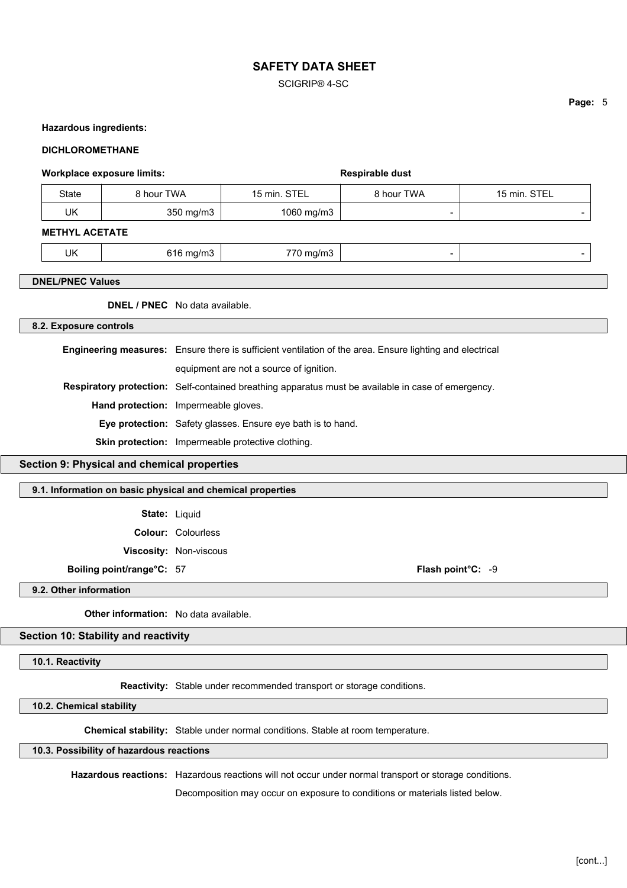SCIGRIP® 4-SC

## **Hazardous ingredients:**

#### **DICHLOROMETHANE**

| <b>Workplace exposure limits:</b>                           |                                                                                                          |                                       |              | Respirable dust          |              |  |
|-------------------------------------------------------------|----------------------------------------------------------------------------------------------------------|---------------------------------------|--------------|--------------------------|--------------|--|
| <b>State</b>                                                | 8 hour TWA                                                                                               |                                       | 15 min. STEL | 8 hour TWA               | 15 min. STEL |  |
| <b>UK</b>                                                   |                                                                                                          | 350 mg/m3                             | 1060 mg/m3   | $\overline{\phantom{a}}$ |              |  |
| <b>METHYL ACETATE</b>                                       |                                                                                                          |                                       |              |                          |              |  |
| <b>UK</b>                                                   |                                                                                                          | 616 mg/m3                             | 770 mg/m3    | $\overline{\phantom{a}}$ |              |  |
| <b>DNEL/PNEC Values</b>                                     |                                                                                                          |                                       |              |                          |              |  |
| <b>DNEL / PNEC</b> No data available.                       |                                                                                                          |                                       |              |                          |              |  |
| 8.2. Exposure controls                                      |                                                                                                          |                                       |              |                          |              |  |
|                                                             | Engineering measures: Ensure there is sufficient ventilation of the area. Ensure lighting and electrical |                                       |              |                          |              |  |
| equipment are not a source of ignition.                     |                                                                                                          |                                       |              |                          |              |  |
|                                                             | Respiratory protection: Self-contained breathing apparatus must be available in case of emergency.       |                                       |              |                          |              |  |
|                                                             | Hand protection: Impermeable gloves.                                                                     |                                       |              |                          |              |  |
| Eye protection: Safety glasses. Ensure eye bath is to hand. |                                                                                                          |                                       |              |                          |              |  |
|                                                             | Skin protection: Impermeable protective clothing.                                                        |                                       |              |                          |              |  |
| Section 9: Physical and chemical properties                 |                                                                                                          |                                       |              |                          |              |  |
| 9.1. Information on basic physical and chemical properties  |                                                                                                          |                                       |              |                          |              |  |
|                                                             | State: Liquid                                                                                            |                                       |              |                          |              |  |
|                                                             |                                                                                                          | <b>Colour: Colourless</b>             |              |                          |              |  |
|                                                             |                                                                                                          | Viscosity: Non-viscous                |              |                          |              |  |
| Boiling point/range°C: 57                                   |                                                                                                          |                                       |              | Flash point°C: -9        |              |  |
| 9.2. Other information                                      |                                                                                                          |                                       |              |                          |              |  |
|                                                             |                                                                                                          | Other information: No data available. |              |                          |              |  |

**Section 10: Stability and reactivity**

**10.1. Reactivity**

**Reactivity:** Stable under recommended transport or storage conditions.

**10.2. Chemical stability**

**Chemical stability:** Stable under normal conditions. Stable at room temperature.

## **10.3. Possibility of hazardous reactions**

**Hazardous reactions:** Hazardous reactions will not occur under normal transport or storage conditions.

Decomposition may occur on exposure to conditions or materials listed below.

**Page:** 5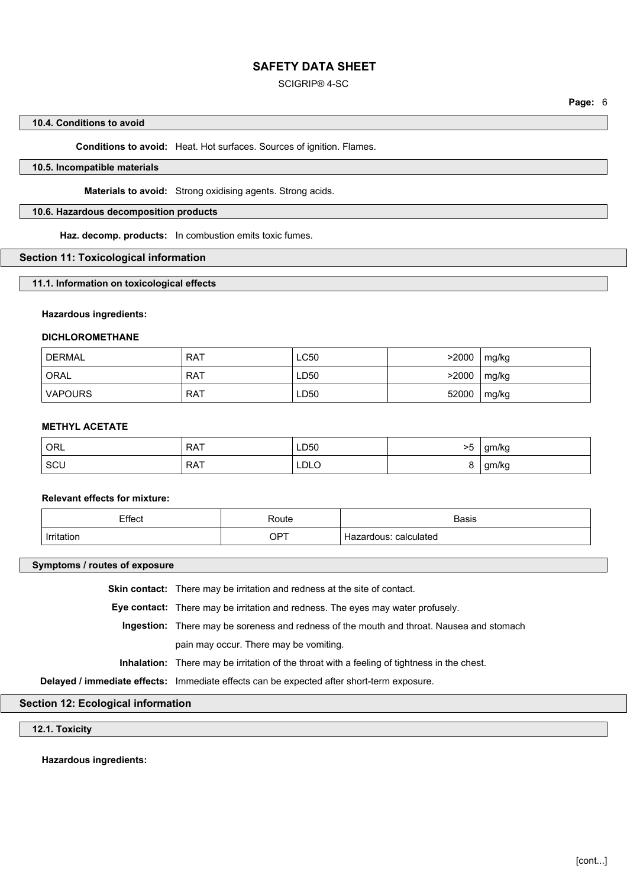#### SCIGRIP® 4-SC

#### **10.4. Conditions to avoid**

#### **Conditions to avoid:** Heat. Hot surfaces. Sources of ignition. Flames.

## **10.5. Incompatible materials**

**Materials to avoid:** Strong oxidising agents. Strong acids.

#### **10.6. Hazardous decomposition products**

**Haz. decomp. products:** In combustion emits toxic fumes.

#### **Section 11: Toxicological information**

**11.1. Information on toxicological effects**

#### **Hazardous ingredients:**

#### **DICHLOROMETHANE**

| <b>DERMAL</b> | <b>RAT</b> | LC50 | >2000 | mg/kg |
|---------------|------------|------|-------|-------|
| <b>ORAL</b>   | <b>RAT</b> | LD50 | >2000 | mg/kg |
| VAPOURS       | <b>RAT</b> | LD50 | 52000 | mg/kg |

#### **METHYL ACETATE**

| ORL | <b>RAT</b> | LD50        | >5 | gm/kg |
|-----|------------|-------------|----|-------|
| SCU | <b>RAT</b> | <b>LDLO</b> |    | gm/kg |

# **Relevant effects for mixture:**

| Effect            | Route | <b>Basis</b>             |
|-------------------|-------|--------------------------|
| <b>Irritation</b> | OPT   | calculated<br>Hazardous. |

#### **Symptoms / routes of exposure**

**Skin contact:** There may be irritation and redness at the site of contact.

**Eye contact:** There may be irritation and redness. The eyes may water profusely.

**Ingestion:** There may be soreness and redness of the mouth and throat. Nausea and stomach

pain may occur. There may be vomiting.

**Inhalation:** There may be irritation of the throat with a feeling of tightness in the chest.

**Delayed / immediate effects:** Immediate effects can be expected after short-term exposure.

# **Section 12: Ecological information**

# **12.1. Toxicity**

**Hazardous ingredients:**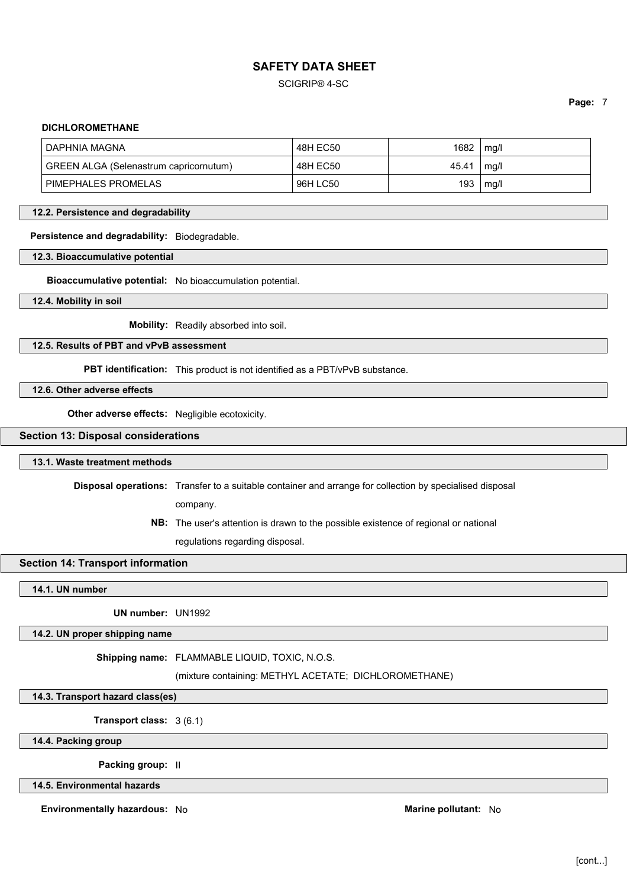## SCIGRIP® 4-SC

**Page:** 7

#### **DICHLOROMETHANE**

| DAPHNIA MAGNA                          | 48H EC50 | 1682  | mg/l |
|----------------------------------------|----------|-------|------|
| GREEN ALGA (Selenastrum capricornutum) | 48H EC50 | 45.41 | mg/l |
| PIMEPHALES PROMELAS                    | 96H LC50 | 193   | mq/l |

#### **12.2. Persistence and degradability**

#### **Persistence and degradability:** Biodegradable.

#### **12.3. Bioaccumulative potential**

**Bioaccumulative potential:** No bioaccumulation potential.

**12.4. Mobility in soil**

**Mobility:** Readily absorbed into soil.

#### **12.5. Results of PBT and vPvB assessment**

**PBT identification:** This product is not identified as a PBT/vPvB substance.

**12.6. Other adverse effects**

**Other adverse effects:** Negligible ecotoxicity.

## **Section 13: Disposal considerations**

#### **13.1. Waste treatment methods**

**Disposal operations:** Transfer to a suitable container and arrange for collection by specialised disposal

company.

**NB:** The user's attention is drawn to the possible existence of regional or national regulations regarding disposal.

# **Section 14: Transport information**

**14.1. UN number**

**UN number:** UN1992

## **14.2. UN proper shipping name**

**Shipping name:** FLAMMABLE LIQUID, TOXIC, N.O.S.

(mixture containing: METHYL ACETATE; DICHLOROMETHANE)

**14.3. Transport hazard class(es)**

**Transport class:** 3 (6.1)

**14.4. Packing group**

**Packing group:** II

**14.5. Environmental hazards**

**Environmentally hazardous:** No **Marine pollutant:** No